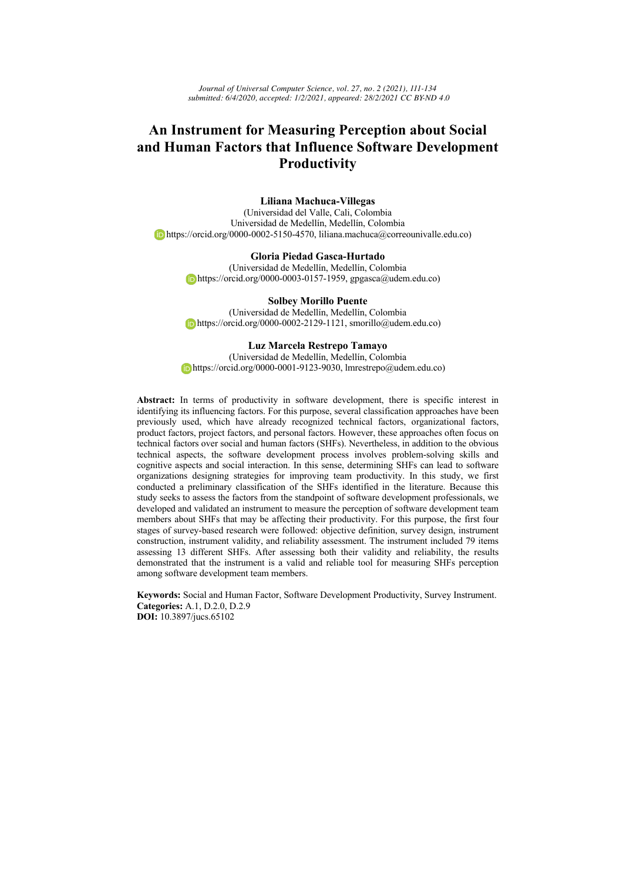*Journal of Universal Computer Science, vol. 27, no. 2 (2021), 111-134 submitted: 6/4/2020, accepted: 1/2/2021, appeared: 28/2/2021 CC BY-ND 4.0*

# **An Instrument for Measuring Perception about Social and Human Factors that Influence Software Development Productivity**

### **Liliana Machuca-Villegas**

(Universidad del Valle, Cali, Colombia Universidad de Medellín, Medellín, Colombia https://orcid.org/0000-0002-5150-4570, liliana.machuca@correounivalle.edu.co)

# **Gloria Piedad Gasca-Hurtado**

(Universidad de Medellín, Medellín, Colombia https://orcid.org/0000-0003-0157-1959, gpgasca@udem.edu.co)

**Solbey Morillo Puente** (Universidad de Medellín, Medellín, Colombia https://orcid.org/0000-0002-2129-1121, smorillo@udem.edu.co)

#### **Luz Marcela Restrepo Tamayo**

(Universidad de Medellín, Medellín, Colombia https://orcid.org/0000-0001-9123-9030, lmrestrepo@udem.edu.co)

**Abstract:** In terms of productivity in software development, there is specific interest in identifying its influencing factors. For this purpose, several classification approaches have been previously used, which have already recognized technical factors, organizational factors, product factors, project factors, and personal factors. However, these approaches often focus on technical factors over social and human factors (SHFs). Nevertheless, in addition to the obvious technical aspects, the software development process involves problem-solving skills and cognitive aspects and social interaction. In this sense, determining SHFs can lead to software organizations designing strategies for improving team productivity. In this study, we first conducted a preliminary classification of the SHFs identified in the literature. Because this study seeks to assess the factors from the standpoint of software development professionals, we developed and validated an instrument to measure the perception of software development team members about SHFs that may be affecting their productivity. For this purpose, the first four stages of survey-based research were followed: objective definition, survey design, instrument construction, instrument validity, and reliability assessment. The instrument included 79 items assessing 13 different SHFs. After assessing both their validity and reliability, the results demonstrated that the instrument is a valid and reliable tool for measuring SHFs perception among software development team members.

**Keywords:** Social and Human Factor, Software Development Productivity, Survey Instrument. **Categories:** A.1, D.2.0, D.2.9 **DOI:** 10.3897/jucs.65102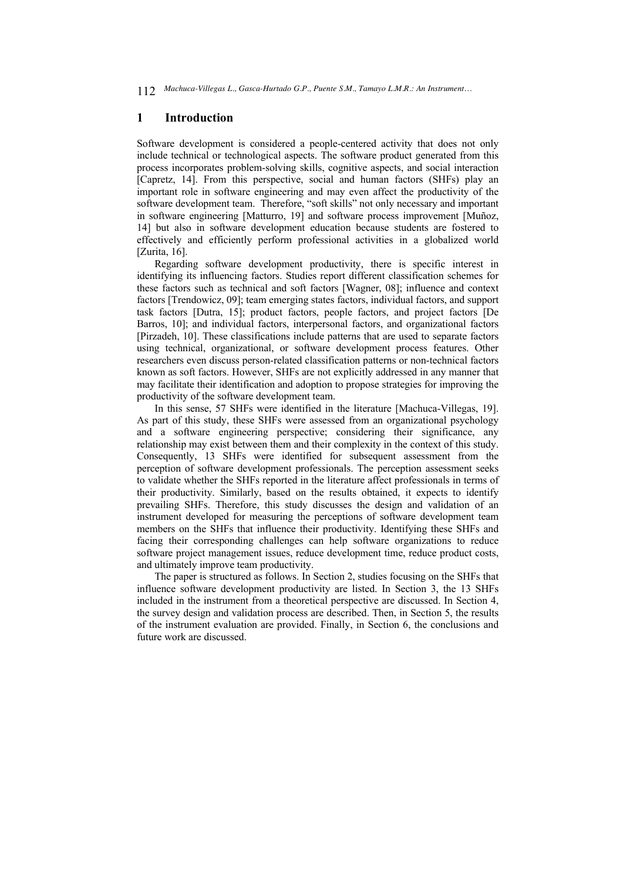# **1 Introduction**

Software development is considered a people-centered activity that does not only include technical or technological aspects. The software product generated from this process incorporates problem-solving skills, cognitive aspects, and social interaction [Capretz, 14]. From this perspective, social and human factors (SHFs) play an important role in software engineering and may even affect the productivity of the software development team. Therefore, "soft skills" not only necessary and important in software engineering [Matturro, 19] and software process improvement [Muñoz, 14] but also in software development education because students are fostered to effectively and efficiently perform professional activities in a globalized world [Zurita, 16].

Regarding software development productivity, there is specific interest in identifying its influencing factors. Studies report different classification schemes for these factors such as technical and soft factors [Wagner, 08]; influence and context factors [Trendowicz, 09]; team emerging states factors, individual factors, and support task factors [Dutra, 15]; product factors, people factors, and project factors [De Barros, 10]; and individual factors, interpersonal factors, and organizational factors [Pirzadeh, 10]. These classifications include patterns that are used to separate factors using technical, organizational, or software development process features. Other researchers even discuss person-related classification patterns or non-technical factors known as soft factors. However, SHFs are not explicitly addressed in any manner that may facilitate their identification and adoption to propose strategies for improving the productivity of the software development team.

In this sense, 57 SHFs were identified in the literature [Machuca-Villegas, 19]. As part of this study, these SHFs were assessed from an organizational psychology and a software engineering perspective; considering their significance, any relationship may exist between them and their complexity in the context of this study. Consequently, 13 SHFs were identified for subsequent assessment from the perception of software development professionals. The perception assessment seeks to validate whether the SHFs reported in the literature affect professionals in terms of their productivity. Similarly, based on the results obtained, it expects to identify prevailing SHFs. Therefore, this study discusses the design and validation of an instrument developed for measuring the perceptions of software development team members on the SHFs that influence their productivity. Identifying these SHFs and facing their corresponding challenges can help software organizations to reduce software project management issues, reduce development time, reduce product costs, and ultimately improve team productivity.

The paper is structured as follows. In Section 2, studies focusing on the SHFs that influence software development productivity are listed. In Section 3, the 13 SHFs included in the instrument from a theoretical perspective are discussed. In Section 4, the survey design and validation process are described. Then, in Section 5, the results of the instrument evaluation are provided. Finally, in Section 6, the conclusions and future work are discussed.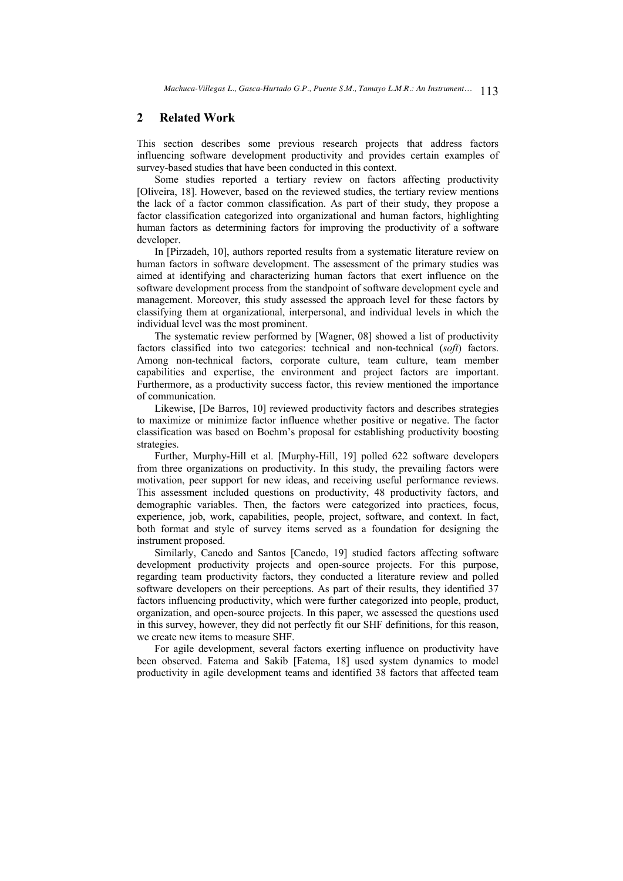# **2 Related Work**

This section describes some previous research projects that address factors influencing software development productivity and provides certain examples of survey-based studies that have been conducted in this context.

Some studies reported a tertiary review on factors affecting productivity [Oliveira, 18]. However, based on the reviewed studies, the tertiary review mentions the lack of a factor common classification. As part of their study, they propose a factor classification categorized into organizational and human factors, highlighting human factors as determining factors for improving the productivity of a software developer.

In [Pirzadeh, 10], authors reported results from a systematic literature review on human factors in software development. The assessment of the primary studies was aimed at identifying and characterizing human factors that exert influence on the software development process from the standpoint of software development cycle and management. Moreover, this study assessed the approach level for these factors by classifying them at organizational, interpersonal, and individual levels in which the individual level was the most prominent.

The systematic review performed by [Wagner, 08] showed a list of productivity factors classified into two categories: technical and non-technical (*soft*) factors. Among non-technical factors, corporate culture, team culture, team member capabilities and expertise, the environment and project factors are important. Furthermore, as a productivity success factor, this review mentioned the importance of communication.

Likewise, [De Barros, 10] reviewed productivity factors and describes strategies to maximize or minimize factor influence whether positive or negative. The factor classification was based on Boehm's proposal for establishing productivity boosting strategies.

Further, Murphy-Hill et al. [Murphy-Hill, 19] polled 622 software developers from three organizations on productivity. In this study, the prevailing factors were motivation, peer support for new ideas, and receiving useful performance reviews. This assessment included questions on productivity, 48 productivity factors, and demographic variables. Then, the factors were categorized into practices, focus, experience, job, work, capabilities, people, project, software, and context. In fact, both format and style of survey items served as a foundation for designing the instrument proposed.

Similarly, Canedo and Santos [Canedo, 19] studied factors affecting software development productivity projects and open-source projects. For this purpose, regarding team productivity factors, they conducted a literature review and polled software developers on their perceptions. As part of their results, they identified 37 factors influencing productivity, which were further categorized into people, product, organization, and open-source projects. In this paper, we assessed the questions used in this survey, however, they did not perfectly fit our SHF definitions, for this reason, we create new items to measure SHF.

For agile development, several factors exerting influence on productivity have been observed. Fatema and Sakib [Fatema, 18] used system dynamics to model productivity in agile development teams and identified 38 factors that affected team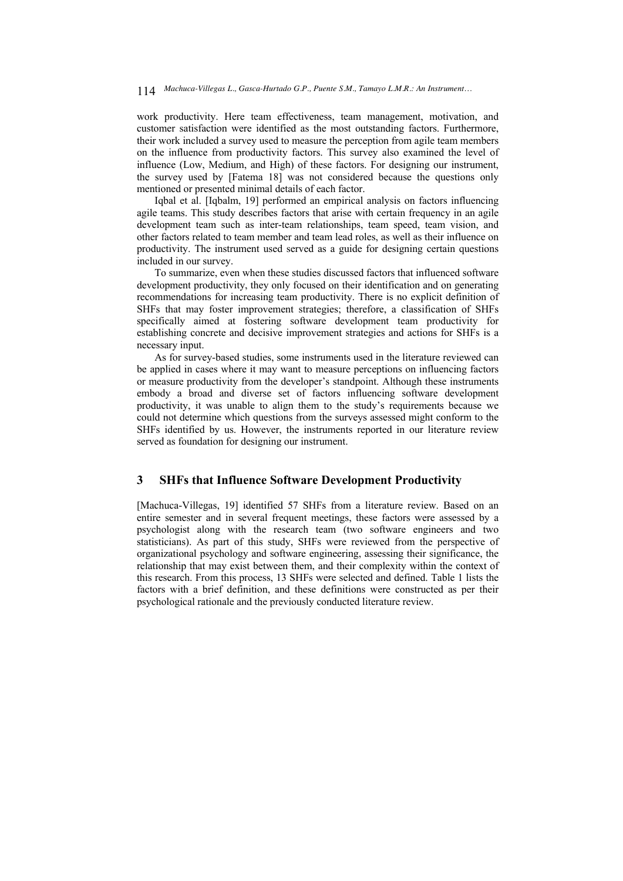work productivity. Here team effectiveness, team management, motivation, and customer satisfaction were identified as the most outstanding factors. Furthermore, their work included a survey used to measure the perception from agile team members on the influence from productivity factors. This survey also examined the level of influence (Low, Medium, and High) of these factors. For designing our instrument, the survey used by [Fatema 18] was not considered because the questions only mentioned or presented minimal details of each factor.

Iqbal et al. [Iqbalm, 19] performed an empirical analysis on factors influencing agile teams. This study describes factors that arise with certain frequency in an agile development team such as inter-team relationships, team speed, team vision, and other factors related to team member and team lead roles, as well as their influence on productivity. The instrument used served as a guide for designing certain questions included in our survey.

To summarize, even when these studies discussed factors that influenced software development productivity, they only focused on their identification and on generating recommendations for increasing team productivity. There is no explicit definition of SHFs that may foster improvement strategies; therefore, a classification of SHFs specifically aimed at fostering software development team productivity for establishing concrete and decisive improvement strategies and actions for SHFs is a necessary input.

As for survey-based studies, some instruments used in the literature reviewed can be applied in cases where it may want to measure perceptions on influencing factors or measure productivity from the developer's standpoint. Although these instruments embody a broad and diverse set of factors influencing software development productivity, it was unable to align them to the study's requirements because we could not determine which questions from the surveys assessed might conform to the SHFs identified by us. However, the instruments reported in our literature review served as foundation for designing our instrument.

# **3 SHFs that Influence Software Development Productivity**

[Machuca-Villegas, 19] identified 57 SHFs from a literature review. Based on an entire semester and in several frequent meetings, these factors were assessed by a psychologist along with the research team (two software engineers and two statisticians). As part of this study, SHFs were reviewed from the perspective of organizational psychology and software engineering, assessing their significance, the relationship that may exist between them, and their complexity within the context of this research. From this process, 13 SHFs were selected and defined. Table 1 lists the factors with a brief definition, and these definitions were constructed as per their psychological rationale and the previously conducted literature review.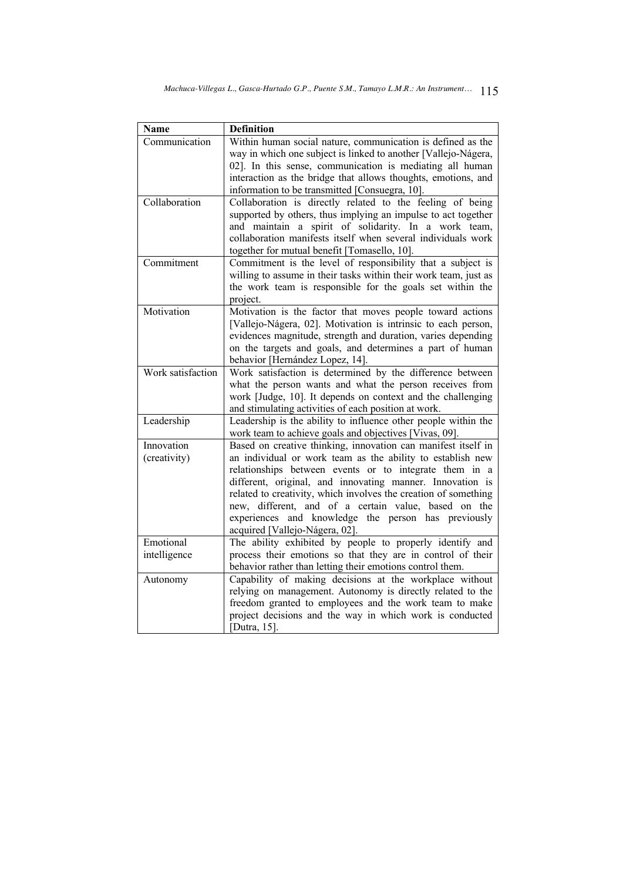| <b>Name</b>       | <b>Definition</b>                                                                                                             |
|-------------------|-------------------------------------------------------------------------------------------------------------------------------|
| Communication     | Within human social nature, communication is defined as the<br>way in which one subject is linked to another [Vallejo-Nágera, |
|                   | 02]. In this sense, communication is mediating all human                                                                      |
|                   | interaction as the bridge that allows thoughts, emotions, and                                                                 |
|                   | information to be transmitted [Consuegra, 10].                                                                                |
| Collaboration     | Collaboration is directly related to the feeling of being                                                                     |
|                   | supported by others, thus implying an impulse to act together                                                                 |
|                   | and maintain a spirit of solidarity. In a work team,                                                                          |
|                   | collaboration manifests itself when several individuals work                                                                  |
|                   | together for mutual benefit [Tomasello, 10].                                                                                  |
| Commitment        | Commitment is the level of responsibility that a subject is                                                                   |
|                   | willing to assume in their tasks within their work team, just as                                                              |
|                   | the work team is responsible for the goals set within the                                                                     |
|                   | project.                                                                                                                      |
| Motivation        | Motivation is the factor that moves people toward actions                                                                     |
|                   | [Vallejo-Nágera, 02]. Motivation is intrinsic to each person,                                                                 |
|                   | evidences magnitude, strength and duration, varies depending                                                                  |
|                   | on the targets and goals, and determines a part of human                                                                      |
|                   | behavior [Hernández Lopez, 14].                                                                                               |
| Work satisfaction | Work satisfaction is determined by the difference between                                                                     |
|                   | what the person wants and what the person receives from                                                                       |
|                   | work [Judge, 10]. It depends on context and the challenging<br>and stimulating activities of each position at work.           |
| Leadership        | Leadership is the ability to influence other people within the                                                                |
|                   | work team to achieve goals and objectives [Vivas, 09].                                                                        |
| Innovation        | Based on creative thinking, innovation can manifest itself in                                                                 |
| (creativity)      | an individual or work team as the ability to establish new                                                                    |
|                   | relationships between events or to integrate them in a                                                                        |
|                   | different, original, and innovating manner. Innovation is                                                                     |
|                   | related to creativity, which involves the creation of something                                                               |
|                   | new, different, and of a certain value, based on the                                                                          |
|                   | experiences and knowledge the person has previously                                                                           |
|                   | acquired [Vallejo-Nágera, 02].                                                                                                |
| Emotional         | The ability exhibited by people to properly identify and                                                                      |
| intelligence      | process their emotions so that they are in control of their                                                                   |
|                   | behavior rather than letting their emotions control them.                                                                     |
| Autonomy          | Capability of making decisions at the workplace without                                                                       |
|                   | relying on management. Autonomy is directly related to the                                                                    |
|                   | freedom granted to employees and the work team to make                                                                        |
|                   | project decisions and the way in which work is conducted                                                                      |
|                   | [Dutra, 15].                                                                                                                  |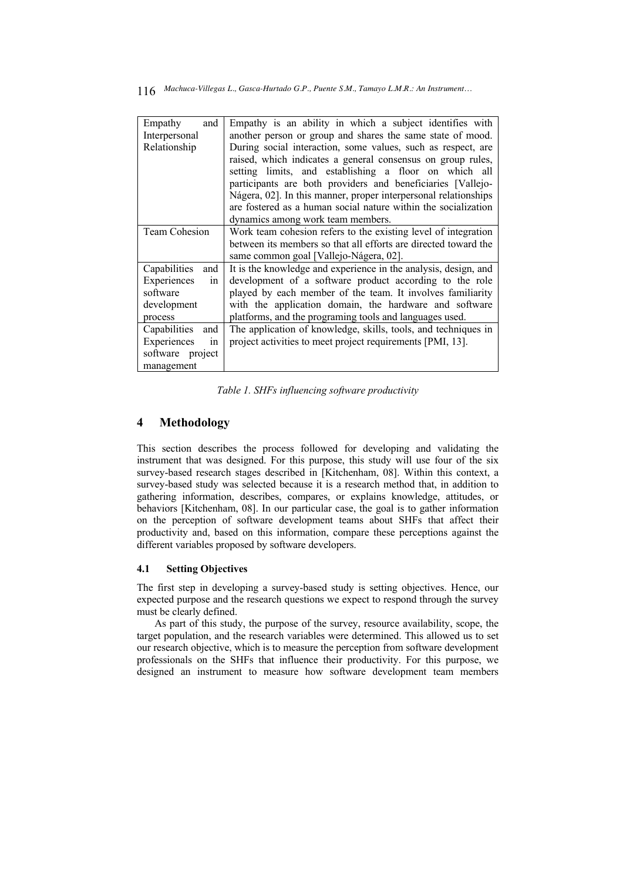| Empathy<br>and       | Empathy is an ability in which a subject identifies with        |
|----------------------|-----------------------------------------------------------------|
| Interpersonal        | another person or group and shares the same state of mood.      |
| Relationship         | During social interaction, some values, such as respect, are    |
|                      | raised, which indicates a general consensus on group rules,     |
|                      | setting limits, and establishing a floor on which all           |
|                      | participants are both providers and beneficiaries [Vallejo-     |
|                      | Nágera, 02]. In this manner, proper interpersonal relationships |
|                      | are fostered as a human social nature within the socialization  |
|                      | dynamics among work team members.                               |
| <b>Team Cohesion</b> | Work team cohesion refers to the existing level of integration  |
|                      | between its members so that all efforts are directed toward the |
|                      | same common goal [Vallejo-Nágera, 02].                          |
| Capabilities<br>and  | It is the knowledge and experience in the analysis, design, and |
| Experiences<br>in    | development of a software product according to the role         |
| software             | played by each member of the team. It involves familiarity      |
| development          | with the application domain, the hardware and software          |
| process              | platforms, and the programing tools and languages used.         |
| Capabilities<br>and  | The application of knowledge, skills, tools, and techniques in  |
| Experiences<br>1n    | project activities to meet project requirements [PMI, 13].      |
| software project     |                                                                 |
| management           |                                                                 |

*Table 1. SHFs influencing software productivity*

# **4 Methodology**

This section describes the process followed for developing and validating the instrument that was designed. For this purpose, this study will use four of the six survey-based research stages described in [Kitchenham, 08]. Within this context, a survey-based study was selected because it is a research method that, in addition to gathering information, describes, compares, or explains knowledge, attitudes, or behaviors [Kitchenham, 08]. In our particular case, the goal is to gather information on the perception of software development teams about SHFs that affect their productivity and, based on this information, compare these perceptions against the different variables proposed by software developers.

### **4.1 Setting Objectives**

The first step in developing a survey-based study is setting objectives. Hence, our expected purpose and the research questions we expect to respond through the survey must be clearly defined.

As part of this study, the purpose of the survey, resource availability, scope, the target population, and the research variables were determined. This allowed us to set our research objective, which is to measure the perception from software development professionals on the SHFs that influence their productivity. For this purpose, we designed an instrument to measure how software development team members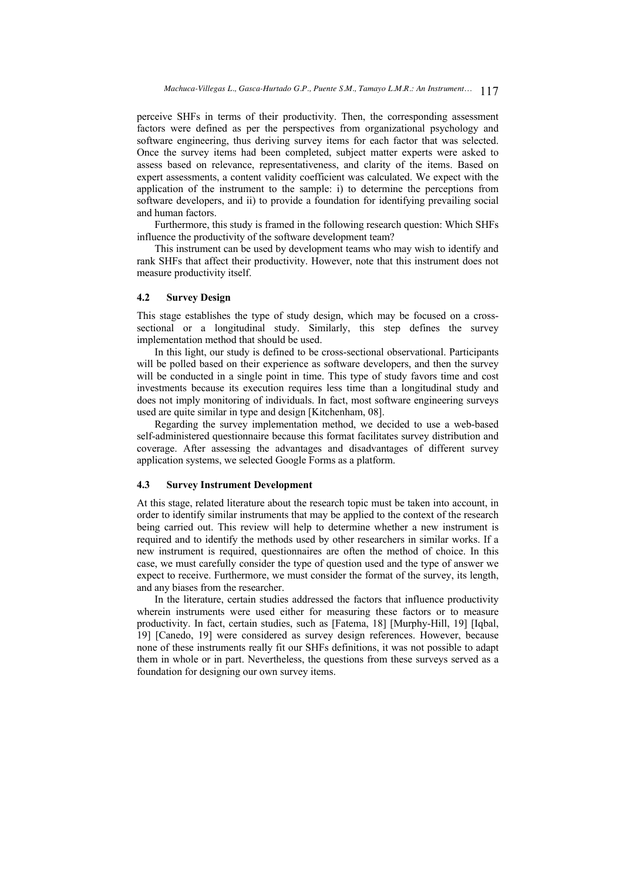perceive SHFs in terms of their productivity. Then, the corresponding assessment factors were defined as per the perspectives from organizational psychology and software engineering, thus deriving survey items for each factor that was selected. Once the survey items had been completed, subject matter experts were asked to assess based on relevance, representativeness, and clarity of the items. Based on expert assessments, a content validity coefficient was calculated. We expect with the application of the instrument to the sample: i) to determine the perceptions from software developers, and ii) to provide a foundation for identifying prevailing social and human factors.

Furthermore, this study is framed in the following research question: Which SHFs influence the productivity of the software development team?

This instrument can be used by development teams who may wish to identify and rank SHFs that affect their productivity. However, note that this instrument does not measure productivity itself.

### **4.2 Survey Design**

This stage establishes the type of study design, which may be focused on a crosssectional or a longitudinal study. Similarly, this step defines the survey implementation method that should be used.

In this light, our study is defined to be cross-sectional observational. Participants will be polled based on their experience as software developers, and then the survey will be conducted in a single point in time. This type of study favors time and cost investments because its execution requires less time than a longitudinal study and does not imply monitoring of individuals. In fact, most software engineering surveys used are quite similar in type and design [Kitchenham, 08].

Regarding the survey implementation method, we decided to use a web-based self-administered questionnaire because this format facilitates survey distribution and coverage. After assessing the advantages and disadvantages of different survey application systems, we selected Google Forms as a platform.

# **4.3 Survey Instrument Development**

At this stage, related literature about the research topic must be taken into account, in order to identify similar instruments that may be applied to the context of the research being carried out. This review will help to determine whether a new instrument is required and to identify the methods used by other researchers in similar works. If a new instrument is required, questionnaires are often the method of choice. In this case, we must carefully consider the type of question used and the type of answer we expect to receive. Furthermore, we must consider the format of the survey, its length, and any biases from the researcher.

In the literature, certain studies addressed the factors that influence productivity wherein instruments were used either for measuring these factors or to measure productivity. In fact, certain studies, such as [Fatema, 18] [Murphy-Hill, 19] [Iqbal, 19] [Canedo, 19] were considered as survey design references. However, because none of these instruments really fit our SHFs definitions, it was not possible to adapt them in whole or in part. Nevertheless, the questions from these surveys served as a foundation for designing our own survey items.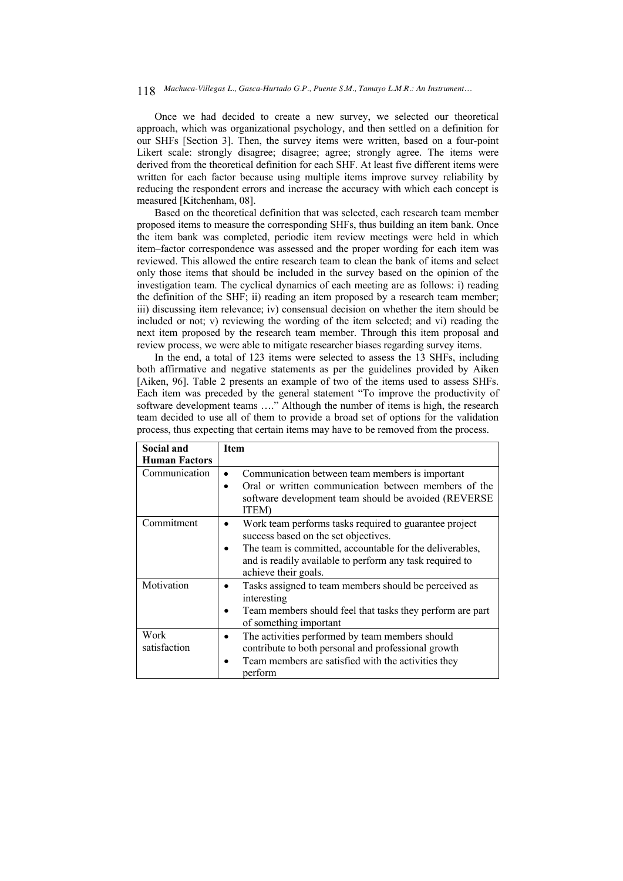# *Machuca-Villegas L., Gasca-Hurtado G.P., Puente S.M., Tamayo L.M.R.: An Instrument…* 118

Once we had decided to create a new survey, we selected our theoretical approach, which was organizational psychology, and then settled on a definition for our SHFs [Section 3]. Then, the survey items were written, based on a four-point Likert scale: strongly disagree; disagree; agree; strongly agree. The items were derived from the theoretical definition for each SHF. At least five different items were written for each factor because using multiple items improve survey reliability by reducing the respondent errors and increase the accuracy with which each concept is measured [Kitchenham, 08].

Based on the theoretical definition that was selected, each research team member proposed items to measure the corresponding SHFs, thus building an item bank. Once the item bank was completed, periodic item review meetings were held in which item–factor correspondence was assessed and the proper wording for each item was reviewed. This allowed the entire research team to clean the bank of items and select only those items that should be included in the survey based on the opinion of the investigation team. The cyclical dynamics of each meeting are as follows: i) reading the definition of the SHF; ii) reading an item proposed by a research team member; iii) discussing item relevance; iv) consensual decision on whether the item should be included or not; v) reviewing the wording of the item selected; and vi) reading the next item proposed by the research team member. Through this item proposal and review process, we were able to mitigate researcher biases regarding survey items.

In the end, a total of 123 items were selected to assess the 13 SHFs, including both affirmative and negative statements as per the guidelines provided by Aiken [Aiken, 96]. Table 2 presents an example of two of the items used to assess SHFs. Each item was preceded by the general statement "To improve the productivity of software development teams …." Although the number of items is high, the research team decided to use all of them to provide a broad set of options for the validation process, thus expecting that certain items may have to be removed from the process.

| Social and           | <b>Item</b>                                                                                                                                                                   |
|----------------------|-------------------------------------------------------------------------------------------------------------------------------------------------------------------------------|
| <b>Human Factors</b> |                                                                                                                                                                               |
| Communication        | Communication between team members is important                                                                                                                               |
|                      | Oral or written communication between members of the<br>$\bullet$<br>software development team should be avoided (REVERSE<br>ITEM)                                            |
| Commitment           | Work team performs tasks required to guarantee project<br>success based on the set objectives.                                                                                |
|                      | The team is committed, accountable for the deliverables,<br>and is readily available to perform any task required to<br>achieve their goals.                                  |
| Motivation           | Tasks assigned to team members should be perceived as<br>interesting                                                                                                          |
|                      | Team members should feel that tasks they perform are part<br>of something important                                                                                           |
| Work<br>satisfaction | The activities performed by team members should<br>٠<br>contribute to both personal and professional growth<br>Team members are satisfied with the activities they<br>perform |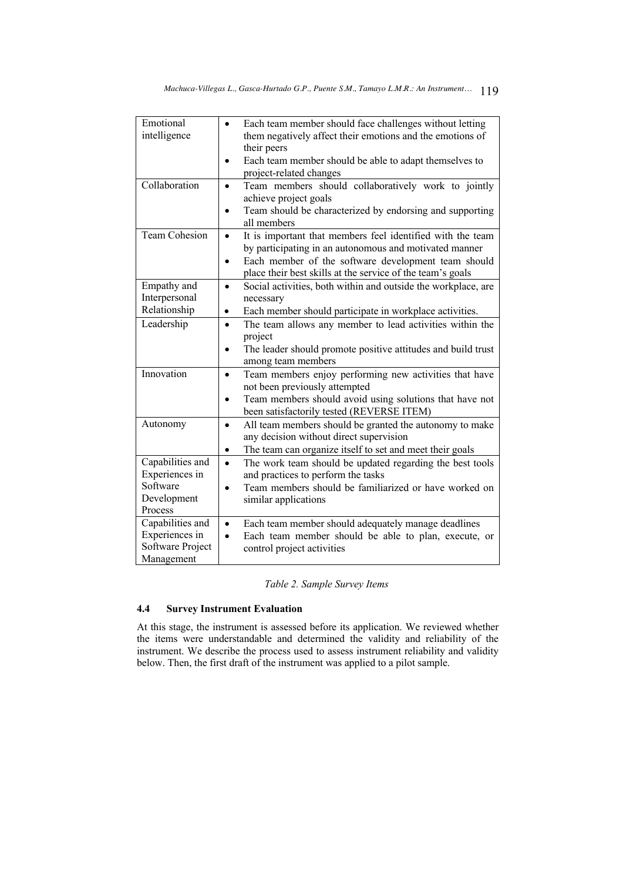| Emotional<br>intelligence                                                | Each team member should face challenges without letting<br>them negatively affect their emotions and the emotions of<br>their peers<br>Each team member should be able to adapt themselves to<br>$\bullet$                                                          |
|--------------------------------------------------------------------------|---------------------------------------------------------------------------------------------------------------------------------------------------------------------------------------------------------------------------------------------------------------------|
| Collaboration                                                            | project-related changes<br>Team members should collaboratively work to jointly<br>$\bullet$<br>achieve project goals<br>Team should be characterized by endorsing and supporting<br>$\bullet$<br>all members                                                        |
| <b>Team Cohesion</b>                                                     | It is important that members feel identified with the team<br>$\bullet$<br>by participating in an autonomous and motivated manner<br>Each member of the software development team should<br>$\bullet$<br>place their best skills at the service of the team's goals |
| Empathy and<br>Interpersonal<br>Relationship                             | Social activities, both within and outside the workplace, are<br>$\bullet$<br>necessary<br>Each member should participate in workplace activities.<br>$\bullet$                                                                                                     |
| Leadership                                                               | The team allows any member to lead activities within the<br>$\bullet$<br>project<br>The leader should promote positive attitudes and build trust<br>$\bullet$<br>among team members                                                                                 |
| Innovation                                                               | Team members enjoy performing new activities that have<br>$\bullet$<br>not been previously attempted<br>Team members should avoid using solutions that have not<br>$\bullet$<br>been satisfactorily tested (REVERSE ITEM)                                           |
| Autonomy                                                                 | All team members should be granted the autonomy to make<br>$\bullet$<br>any decision without direct supervision<br>The team can organize itself to set and meet their goals<br>$\bullet$                                                                            |
| Capabilities and<br>Experiences in<br>Software<br>Development<br>Process | The work team should be updated regarding the best tools<br>$\bullet$<br>and practices to perform the tasks<br>Team members should be familiarized or have worked on<br>$\bullet$<br>similar applications                                                           |
| Capabilities and<br>Experiences in<br>Software Project<br>Management     | Each team member should adequately manage deadlines<br>$\bullet$<br>Each team member should be able to plan, execute, or<br>control project activities                                                                                                              |

# *Table 2. Sample Survey Items*

# **4.4 Survey Instrument Evaluation**

At this stage, the instrument is assessed before its application. We reviewed whether the items were understandable and determined the validity and reliability of the instrument. We describe the process used to assess instrument reliability and validity below. Then, the first draft of the instrument was applied to a pilot sample.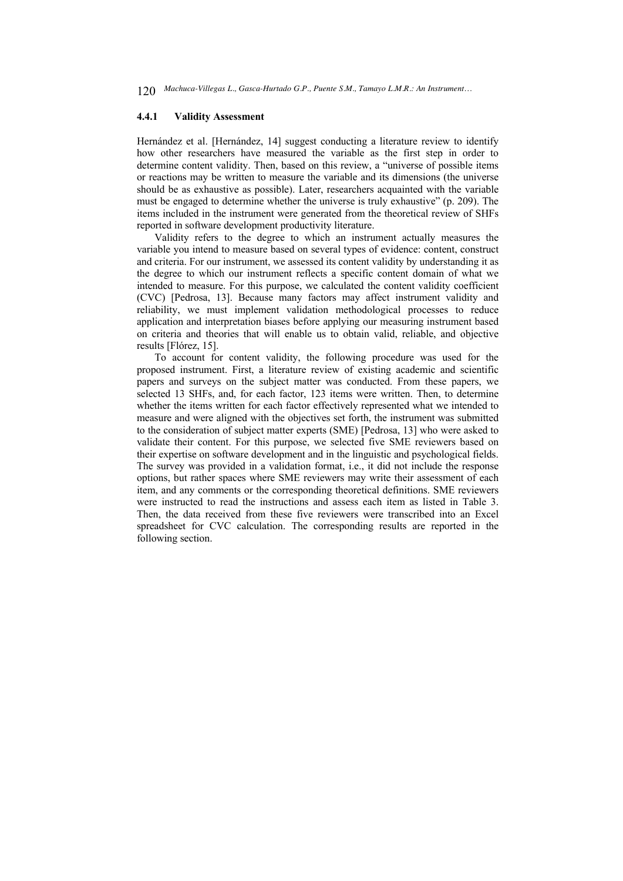#### **4.4.1 Validity Assessment**

Hernández et al. [Hernández, 14] suggest conducting a literature review to identify how other researchers have measured the variable as the first step in order to determine content validity. Then, based on this review, a "universe of possible items or reactions may be written to measure the variable and its dimensions (the universe should be as exhaustive as possible). Later, researchers acquainted with the variable must be engaged to determine whether the universe is truly exhaustive" (p. 209). The items included in the instrument were generated from the theoretical review of SHFs reported in software development productivity literature.

Validity refers to the degree to which an instrument actually measures the variable you intend to measure based on several types of evidence: content, construct and criteria. For our instrument, we assessed its content validity by understanding it as the degree to which our instrument reflects a specific content domain of what we intended to measure. For this purpose, we calculated the content validity coefficient (CVC) [Pedrosa, 13]. Because many factors may affect instrument validity and reliability, we must implement validation methodological processes to reduce application and interpretation biases before applying our measuring instrument based on criteria and theories that will enable us to obtain valid, reliable, and objective results [Flórez, 15].

To account for content validity, the following procedure was used for the proposed instrument. First, a literature review of existing academic and scientific papers and surveys on the subject matter was conducted. From these papers, we selected 13 SHFs, and, for each factor, 123 items were written. Then, to determine whether the items written for each factor effectively represented what we intended to measure and were aligned with the objectives set forth, the instrument was submitted to the consideration of subject matter experts (SME) [Pedrosa, 13] who were asked to validate their content. For this purpose, we selected five SME reviewers based on their expertise on software development and in the linguistic and psychological fields. The survey was provided in a validation format, i.e., it did not include the response options, but rather spaces where SME reviewers may write their assessment of each item, and any comments or the corresponding theoretical definitions. SME reviewers were instructed to read the instructions and assess each item as listed in Table 3. Then, the data received from these five reviewers were transcribed into an Excel spreadsheet for CVC calculation. The corresponding results are reported in the following section.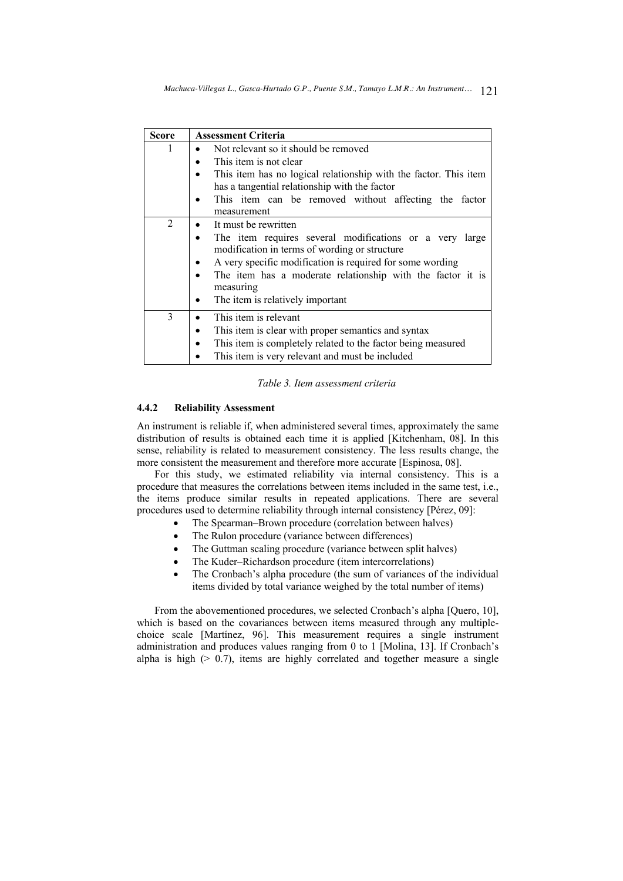| <b>Score</b>   | <b>Assessment Criteria</b>                                                                                                                                                                                                                                                                                        |
|----------------|-------------------------------------------------------------------------------------------------------------------------------------------------------------------------------------------------------------------------------------------------------------------------------------------------------------------|
| 1              | Not relevant so it should be removed<br>This item is not clear<br>This item has no logical relationship with the factor. This item<br>has a tangential relationship with the factor<br>This item can be removed without affecting the factor<br>measurement                                                       |
| $\overline{2}$ | It must be rewritten<br>The item requires several modifications or a very large<br>٠<br>modification in terms of wording or structure<br>A very specific modification is required for some wording<br>The item has a moderate relationship with the factor it is<br>measuring<br>The item is relatively important |
| 3              | This item is relevant<br>This item is clear with proper semantics and syntax<br>This item is completely related to the factor being measured<br>This item is very relevant and must be included                                                                                                                   |

*Table 3. Item assessment criteria*

# **4.4.2 Reliability Assessment**

An instrument is reliable if, when administered several times, approximately the same distribution of results is obtained each time it is applied [Kitchenham, 08]. In this sense, reliability is related to measurement consistency. The less results change, the more consistent the measurement and therefore more accurate [Espinosa, 08].

For this study, we estimated reliability via internal consistency. This is a procedure that measures the correlations between items included in the same test, i.e., the items produce similar results in repeated applications. There are several procedures used to determine reliability through internal consistency [Pérez, 09]:

- The Spearman–Brown procedure (correlation between halves)
- The Rulon procedure (variance between differences)
- The Guttman scaling procedure (variance between split halves)
- The Kuder–Richardson procedure (item intercorrelations)
- The Cronbach's alpha procedure (the sum of variances of the individual items divided by total variance weighed by the total number of items)

From the abovementioned procedures, we selected Cronbach's alpha [Quero, 10], which is based on the covariances between items measured through any multiplechoice scale [Martínez, 96]. This measurement requires a single instrument administration and produces values ranging from 0 to 1 [Molina, 13]. If Cronbach's alpha is high  $(> 0.7)$ , items are highly correlated and together measure a single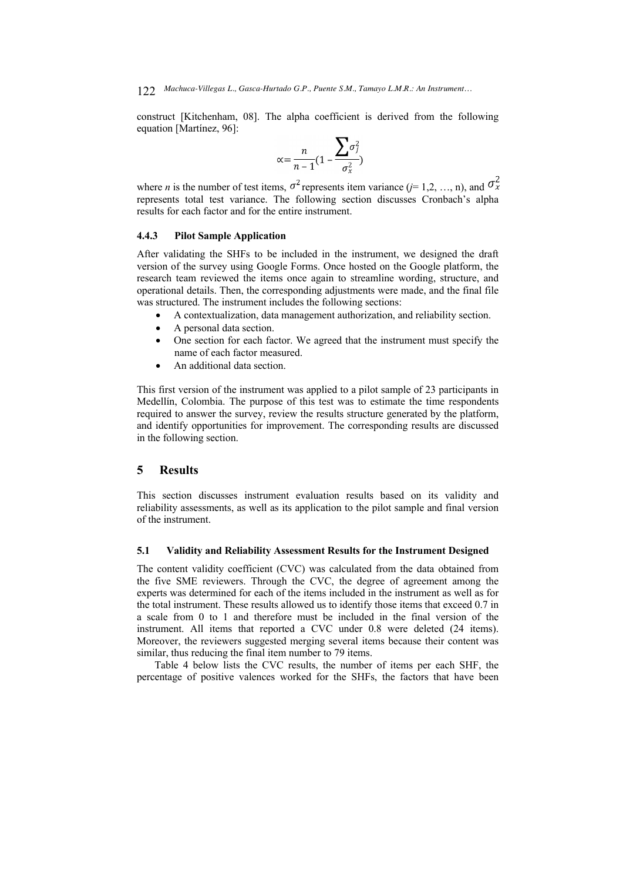construct [Kitchenham, 08]. The alpha coefficient is derived from the following equation [Martínez, 96]:

$$
\alpha = \frac{n}{n-1}(1 - \frac{\sum \sigma_j^2}{\sigma_x^2})
$$

where *n* is the number of test items,  $\sigma^2$  represents item variance (*j*= 1,2, …, n), and  $\sigma_x^2$ represents total test variance. The following section discusses Cronbach's alpha results for each factor and for the entire instrument.

# **4.4.3 Pilot Sample Application**

After validating the SHFs to be included in the instrument, we designed the draft version of the survey using Google Forms. Once hosted on the Google platform, the research team reviewed the items once again to streamline wording, structure, and operational details. Then, the corresponding adjustments were made, and the final file was structured. The instrument includes the following sections:

- A contextualization, data management authorization, and reliability section.
- A personal data section.
- One section for each factor. We agreed that the instrument must specify the name of each factor measured.
- An additional data section.

This first version of the instrument was applied to a pilot sample of 23 participants in Medellín, Colombia. The purpose of this test was to estimate the time respondents required to answer the survey, review the results structure generated by the platform, and identify opportunities for improvement. The corresponding results are discussed in the following section.

# **5 Results**

This section discusses instrument evaluation results based on its validity and reliability assessments, as well as its application to the pilot sample and final version of the instrument.

### **5.1 Validity and Reliability Assessment Results for the Instrument Designed**

The content validity coefficient (CVC) was calculated from the data obtained from the five SME reviewers. Through the CVC, the degree of agreement among the experts was determined for each of the items included in the instrument as well as for the total instrument. These results allowed us to identify those items that exceed 0.7 in a scale from 0 to 1 and therefore must be included in the final version of the instrument. All items that reported a CVC under 0.8 were deleted (24 items). Moreover, the reviewers suggested merging several items because their content was similar, thus reducing the final item number to 79 items.

Table 4 below lists the CVC results, the number of items per each SHF, the percentage of positive valences worked for the SHFs, the factors that have been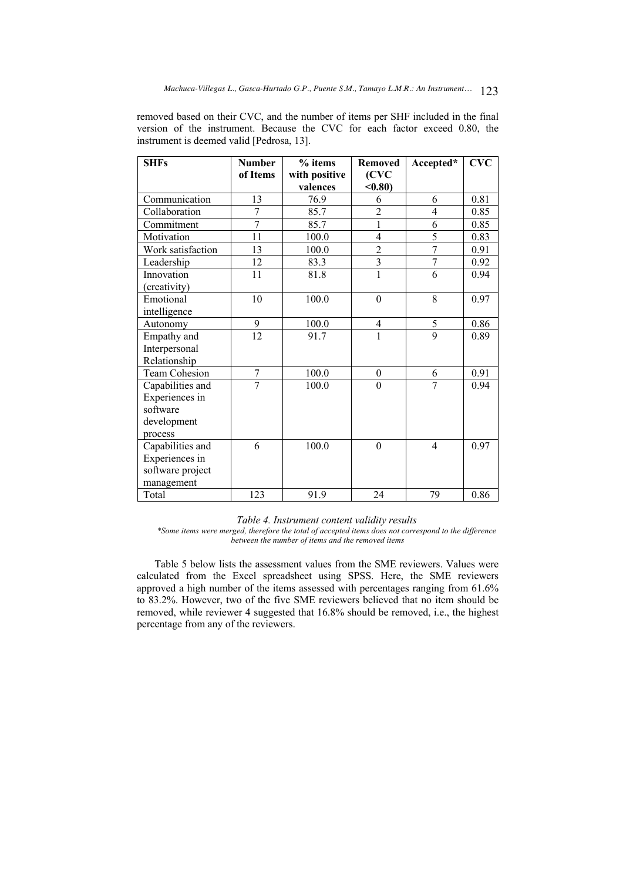removed based on their CVC, and the number of items per SHF included in the final version of the instrument. Because the CVC for each factor exceed 0.80, the instrument is deemed valid [Pedrosa, 13].

| <b>SHFs</b>       | <b>Number</b>  | % items<br><b>Removed</b> |                          | Accepted*      | <b>CVC</b> |
|-------------------|----------------|---------------------------|--------------------------|----------------|------------|
|                   | of Items       | with positive<br>valences | (CVC<br>$0.80$           |                |            |
| Communication     | 13             | 76.9                      | 6                        | 6              | 0.81       |
| Collaboration     | 7              | 85.7                      | $\overline{c}$           | 4              | 0.85       |
| Commitment        | 7              | 85.7                      | 1                        | 6              | 0.85       |
| Motivation        | 11             | 100.0                     | $\overline{4}$           | 5              | 0.83       |
| Work satisfaction | 13             | 100.0                     | $rac{2}{3}$              | $\overline{7}$ | 0.91       |
| Leadership        | 12             | 83.3                      |                          | $\overline{7}$ | 0.92       |
| Innovation        | 11             | 81.8                      | $\overline{1}$           | 6              | 0.94       |
| (creativity)      |                |                           |                          |                |            |
| Emotional         | 10             | 100.0                     | $\boldsymbol{0}$         | 8              | 0.97       |
| intelligence      |                |                           |                          |                |            |
| Autonomy          | 9              | 100.0                     | $\overline{\mathcal{A}}$ | $\mathfrak s$  | 0.86       |
| Empathy and       | 12             | 91.7                      | 1                        | 9              | 0.89       |
| Interpersonal     |                |                           |                          |                |            |
| Relationship      |                |                           |                          |                |            |
| Team Cohesion     | $\overline{7}$ | 100.0                     | $\boldsymbol{0}$         | 6              | 0.91       |
| Capabilities and  | 7              | 100.0                     | $\boldsymbol{0}$         | 7              | 0.94       |
| Experiences in    |                |                           |                          |                |            |
| software          |                |                           |                          |                |            |
| development       |                |                           |                          |                |            |
| process           |                |                           |                          |                |            |
| Capabilities and  | 6              | 100.0                     | $\boldsymbol{0}$         | 4              | 0.97       |
| Experiences in    |                |                           |                          |                |            |
| software project  |                |                           |                          |                |            |
| management        |                |                           |                          |                |            |
| Total             | 123            | 91.9                      | 24                       | 79             | 0.86       |

*Table 4. Instrument content validity results*

*\*Some items were merged, therefore the total of accepted items does not correspond to the difference between the number of items and the removed items* 

Table 5 below lists the assessment values from the SME reviewers. Values were calculated from the Excel spreadsheet using SPSS. Here, the SME reviewers approved a high number of the items assessed with percentages ranging from 61.6% to 83.2%. However, two of the five SME reviewers believed that no item should be removed, while reviewer 4 suggested that 16.8% should be removed, i.e., the highest percentage from any of the reviewers.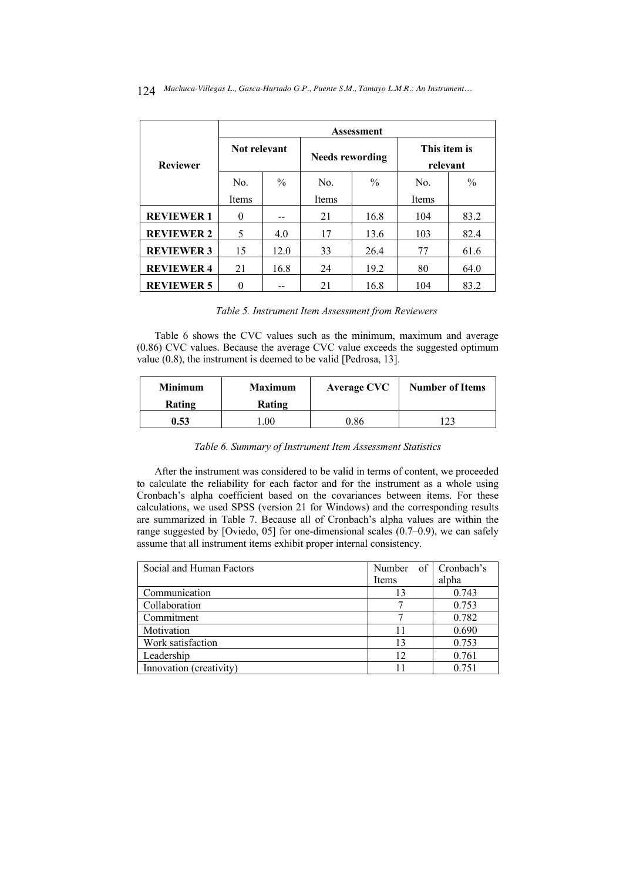|                   | <b>Assessment</b> |               |                        |               |                          |               |  |
|-------------------|-------------------|---------------|------------------------|---------------|--------------------------|---------------|--|
| <b>Reviewer</b>   | Not relevant      |               | <b>Needs rewording</b> |               | This item is<br>relevant |               |  |
|                   | No.               | $\frac{0}{0}$ | No.                    | $\frac{0}{0}$ | No.                      | $\frac{0}{0}$ |  |
|                   | Items             |               | Items                  |               | Items                    |               |  |
| <b>REVIEWER 1</b> | $\Omega$          |               | 21                     | 16.8          | 104                      | 83.2          |  |
| <b>REVIEWER 2</b> | 5                 | 4.0           | 17                     | 13.6          | 103                      | 82.4          |  |
| <b>REVIEWER 3</b> | 15                | 12.0          | 33                     | 26.4          | 77                       | 61.6          |  |
| <b>REVIEWER 4</b> | 21                | 16.8          | 24                     | 19.2          | 80                       | 64.0          |  |
| <b>REVIEWER 5</b> |                   |               | 21                     | 16.8          | 104                      | 83.2          |  |

### *Table 5. Instrument Item Assessment from Reviewers*

Table 6 shows the CVC values such as the minimum, maximum and average (0.86) CVC values. Because the average CVC value exceeds the suggested optimum value (0.8), the instrument is deemed to be valid [Pedrosa, 13].

| <b>Minimum</b><br>Rating | <b>Maximum</b><br>Rating | <b>Average CVC</b> | <b>Number of Items</b> |
|--------------------------|--------------------------|--------------------|------------------------|
| 0.53                     | .00                      |                    |                        |

# *Table 6. Summary of Instrument Item Assessment Statistics*

After the instrument was considered to be valid in terms of content, we proceeded to calculate the reliability for each factor and for the instrument as a whole using Cronbach's alpha coefficient based on the covariances between items. For these calculations, we used SPSS (version 21 for Windows) and the corresponding results are summarized in Table 7. Because all of Cronbach's alpha values are within the range suggested by [Oviedo, 05] for one-dimensional scales (0.7–0.9), we can safely assume that all instrument items exhibit proper internal consistency.

| Social and Human Factors | Number of Cronbach's |       |
|--------------------------|----------------------|-------|
|                          | <b>Items</b>         | alpha |
| Communication            | 13                   | 0.743 |
| Collaboration            |                      | 0.753 |
| Commitment               |                      | 0.782 |
| Motivation               |                      | 0.690 |
| Work satisfaction        | 13                   | 0.753 |
| Leadership               | 12                   | 0.761 |
| Innovation (creativity)  |                      | 0.751 |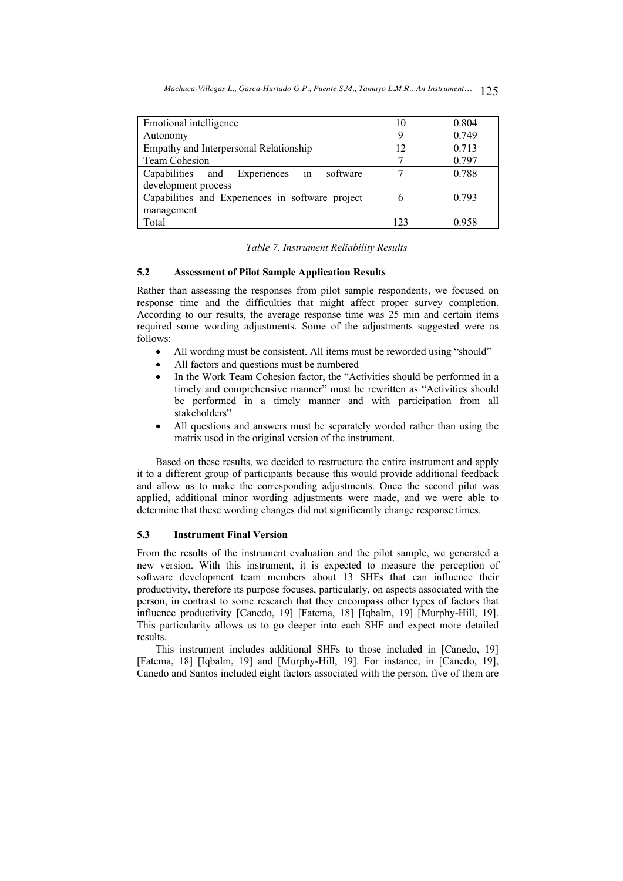| Emotional intelligence                           | 10  | 0.804 |
|--------------------------------------------------|-----|-------|
| Autonomy                                         |     | 0.749 |
| Empathy and Interpersonal Relationship           | 12  | 0.713 |
| <b>Team Cohesion</b>                             |     | 0.797 |
| Capabilities and Experiences in software         |     | 0.788 |
| development process                              |     |       |
| Capabilities and Experiences in software project |     | 0.793 |
| management                                       |     |       |
| Total                                            | 122 |       |

#### *Table 7. Instrument Reliability Results*

# **5.2 Assessment of Pilot Sample Application Results**

Rather than assessing the responses from pilot sample respondents, we focused on response time and the difficulties that might affect proper survey completion. According to our results, the average response time was 25 min and certain items required some wording adjustments. Some of the adjustments suggested were as follows:

- All wording must be consistent. All items must be reworded using "should"
- All factors and questions must be numbered
- In the Work Team Cohesion factor, the "Activities should be performed in a timely and comprehensive manner" must be rewritten as "Activities should be performed in a timely manner and with participation from all stakeholders"
- All questions and answers must be separately worded rather than using the matrix used in the original version of the instrument.

Based on these results, we decided to restructure the entire instrument and apply it to a different group of participants because this would provide additional feedback and allow us to make the corresponding adjustments. Once the second pilot was applied, additional minor wording adjustments were made, and we were able to determine that these wording changes did not significantly change response times.

# **5.3 Instrument Final Version**

From the results of the instrument evaluation and the pilot sample, we generated a new version. With this instrument, it is expected to measure the perception of software development team members about 13 SHFs that can influence their productivity, therefore its purpose focuses, particularly, on aspects associated with the person, in contrast to some research that they encompass other types of factors that influence productivity [Canedo, 19] [Fatema, 18] [Iqbalm, 19] [Murphy-Hill, 19]. This particularity allows us to go deeper into each SHF and expect more detailed results.

This instrument includes additional SHFs to those included in [Canedo, 19] [Fatema, 18] [Iqbalm, 19] and [Murphy-Hill, 19]. For instance, in [Canedo, 19], Canedo and Santos included eight factors associated with the person, five of them are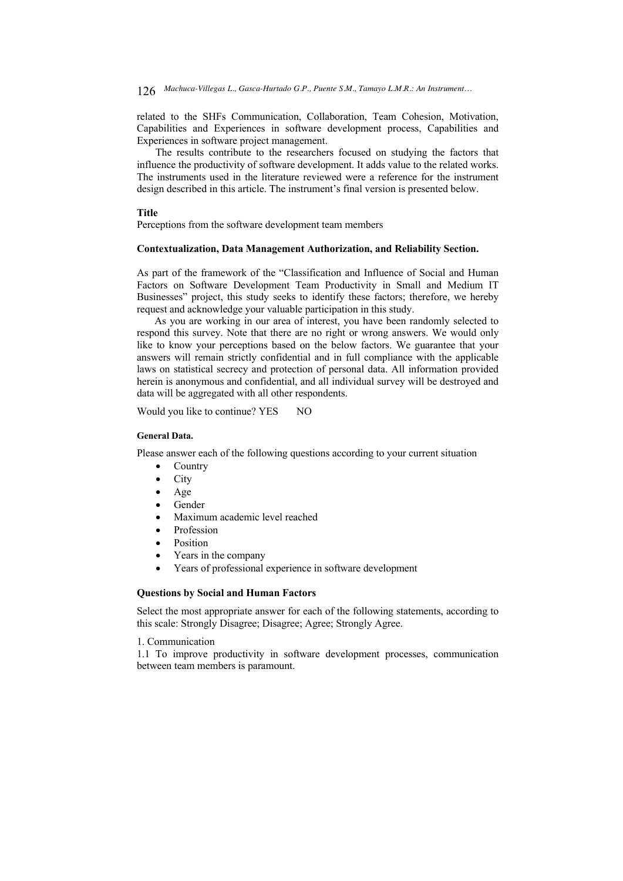related to the SHFs Communication, Collaboration, Team Cohesion, Motivation, Capabilities and Experiences in software development process, Capabilities and Experiences in software project management.

The results contribute to the researchers focused on studying the factors that influence the productivity of software development. It adds value to the related works. The instruments used in the literature reviewed were a reference for the instrument design described in this article. The instrument's final version is presented below.

### **Title**

Perceptions from the software development team members

### **Contextualization, Data Management Authorization, and Reliability Section.**

As part of the framework of the "Classification and Influence of Social and Human Factors on Software Development Team Productivity in Small and Medium IT Businesses" project, this study seeks to identify these factors; therefore, we hereby request and acknowledge your valuable participation in this study.

As you are working in our area of interest, you have been randomly selected to respond this survey. Note that there are no right or wrong answers. We would only like to know your perceptions based on the below factors. We guarantee that your answers will remain strictly confidential and in full compliance with the applicable laws on statistical secrecy and protection of personal data. All information provided herein is anonymous and confidential, and all individual survey will be destroyed and data will be aggregated with all other respondents.

Would you like to continue? YES NO

#### **General Data.**

Please answer each of the following questions according to your current situation

- Country
- City
- Age
- Gender
- Maximum academic level reached
- **Profession**
- **Position**
- Years in the company
- Years of professional experience in software development

## **Questions by Social and Human Factors**

Select the most appropriate answer for each of the following statements, according to this scale: Strongly Disagree; Disagree; Agree; Strongly Agree.

### 1. Communication

1.1 To improve productivity in software development processes, communication between team members is paramount.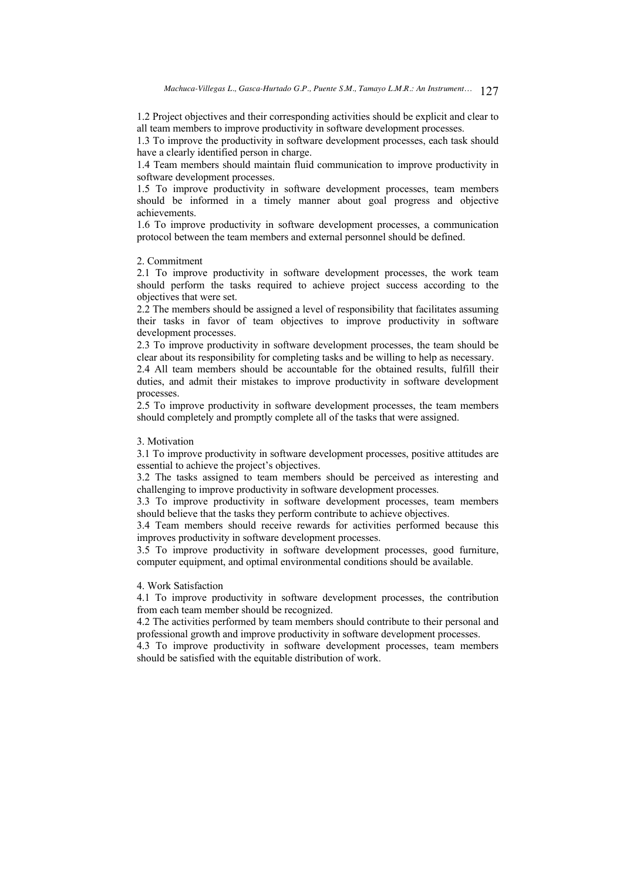1.2 Project objectives and their corresponding activities should be explicit and clear to all team members to improve productivity in software development processes.

1.3 To improve the productivity in software development processes, each task should have a clearly identified person in charge.

1.4 Team members should maintain fluid communication to improve productivity in software development processes.

1.5 To improve productivity in software development processes, team members should be informed in a timely manner about goal progress and objective achievements.

1.6 To improve productivity in software development processes, a communication protocol between the team members and external personnel should be defined.

#### 2. Commitment

2.1 To improve productivity in software development processes, the work team should perform the tasks required to achieve project success according to the objectives that were set.

2.2 The members should be assigned a level of responsibility that facilitates assuming their tasks in favor of team objectives to improve productivity in software development processes.

2.3 To improve productivity in software development processes, the team should be clear about its responsibility for completing tasks and be willing to help as necessary.

2.4 All team members should be accountable for the obtained results, fulfill their duties, and admit their mistakes to improve productivity in software development processes.

2.5 To improve productivity in software development processes, the team members should completely and promptly complete all of the tasks that were assigned.

## 3. Motivation

3.1 To improve productivity in software development processes, positive attitudes are essential to achieve the project's objectives.

3.2 The tasks assigned to team members should be perceived as interesting and challenging to improve productivity in software development processes.

3.3 To improve productivity in software development processes, team members should believe that the tasks they perform contribute to achieve objectives.

3.4 Team members should receive rewards for activities performed because this improves productivity in software development processes.

3.5 To improve productivity in software development processes, good furniture, computer equipment, and optimal environmental conditions should be available.

# 4. Work Satisfaction

4.1 To improve productivity in software development processes, the contribution from each team member should be recognized.

4.2 The activities performed by team members should contribute to their personal and professional growth and improve productivity in software development processes.

4.3 To improve productivity in software development processes, team members should be satisfied with the equitable distribution of work.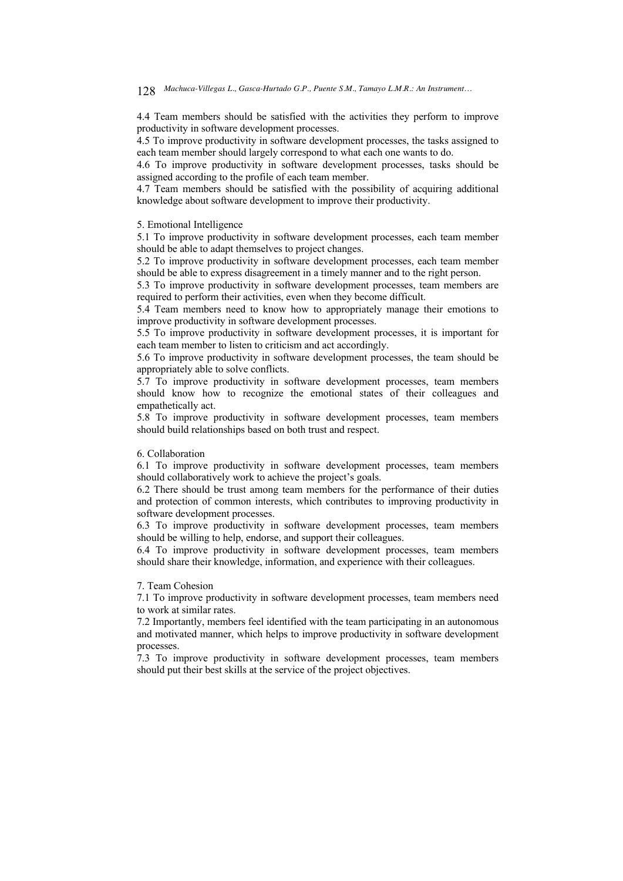4.4 Team members should be satisfied with the activities they perform to improve productivity in software development processes.

4.5 To improve productivity in software development processes, the tasks assigned to each team member should largely correspond to what each one wants to do.

4.6 To improve productivity in software development processes, tasks should be assigned according to the profile of each team member.

4.7 Team members should be satisfied with the possibility of acquiring additional knowledge about software development to improve their productivity.

# 5. Emotional Intelligence

5.1 To improve productivity in software development processes, each team member should be able to adapt themselves to project changes.

5.2 To improve productivity in software development processes, each team member should be able to express disagreement in a timely manner and to the right person.

5.3 To improve productivity in software development processes, team members are required to perform their activities, even when they become difficult.

5.4 Team members need to know how to appropriately manage their emotions to improve productivity in software development processes.

5.5 To improve productivity in software development processes, it is important for each team member to listen to criticism and act accordingly.

5.6 To improve productivity in software development processes, the team should be appropriately able to solve conflicts.

5.7 To improve productivity in software development processes, team members should know how to recognize the emotional states of their colleagues and empathetically act.

5.8 To improve productivity in software development processes, team members should build relationships based on both trust and respect.

# 6. Collaboration

6.1 To improve productivity in software development processes, team members should collaboratively work to achieve the project's goals.

6.2 There should be trust among team members for the performance of their duties and protection of common interests, which contributes to improving productivity in software development processes.

6.3 To improve productivity in software development processes, team members should be willing to help, endorse, and support their colleagues.

6.4 To improve productivity in software development processes, team members should share their knowledge, information, and experience with their colleagues.

### 7. Team Cohesion

7.1 To improve productivity in software development processes, team members need to work at similar rates.

7.2 Importantly, members feel identified with the team participating in an autonomous and motivated manner, which helps to improve productivity in software development processes.

7.3 To improve productivity in software development processes, team members should put their best skills at the service of the project objectives.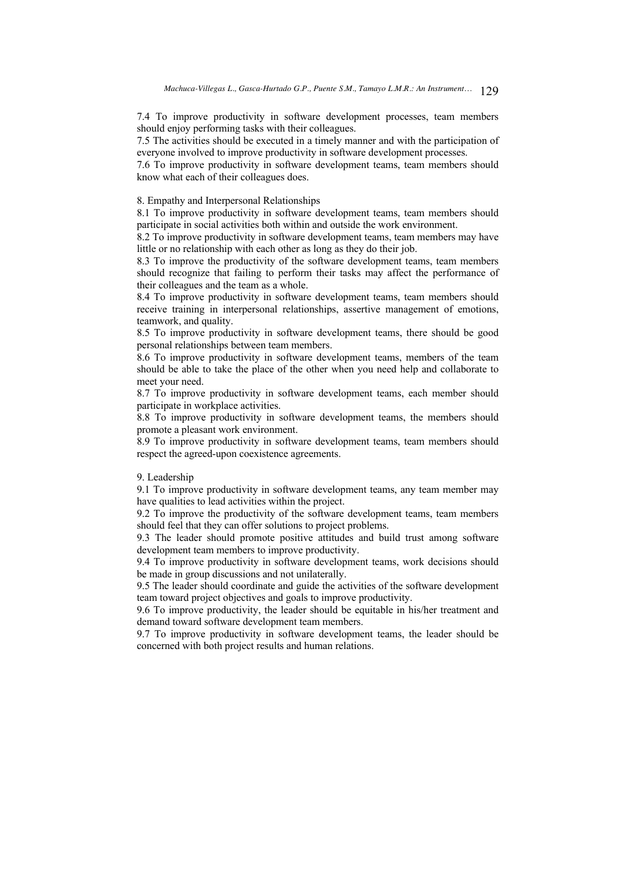7.4 To improve productivity in software development processes, team members should enjoy performing tasks with their colleagues.

7.5 The activities should be executed in a timely manner and with the participation of everyone involved to improve productivity in software development processes.

7.6 To improve productivity in software development teams, team members should know what each of their colleagues does.

# 8. Empathy and Interpersonal Relationships

8.1 To improve productivity in software development teams, team members should participate in social activities both within and outside the work environment.

8.2 To improve productivity in software development teams, team members may have little or no relationship with each other as long as they do their job.

8.3 To improve the productivity of the software development teams, team members should recognize that failing to perform their tasks may affect the performance of their colleagues and the team as a whole.

8.4 To improve productivity in software development teams, team members should receive training in interpersonal relationships, assertive management of emotions, teamwork, and quality.

8.5 To improve productivity in software development teams, there should be good personal relationships between team members.

8.6 To improve productivity in software development teams, members of the team should be able to take the place of the other when you need help and collaborate to meet your need.

8.7 To improve productivity in software development teams, each member should participate in workplace activities.

8.8 To improve productivity in software development teams, the members should promote a pleasant work environment.

8.9 To improve productivity in software development teams, team members should respect the agreed-upon coexistence agreements.

#### 9. Leadership

9.1 To improve productivity in software development teams, any team member may have qualities to lead activities within the project.

9.2 To improve the productivity of the software development teams, team members should feel that they can offer solutions to project problems.

9.3 The leader should promote positive attitudes and build trust among software development team members to improve productivity.

9.4 To improve productivity in software development teams, work decisions should be made in group discussions and not unilaterally.

9.5 The leader should coordinate and guide the activities of the software development team toward project objectives and goals to improve productivity.

9.6 To improve productivity, the leader should be equitable in his/her treatment and demand toward software development team members.

9.7 To improve productivity in software development teams, the leader should be concerned with both project results and human relations.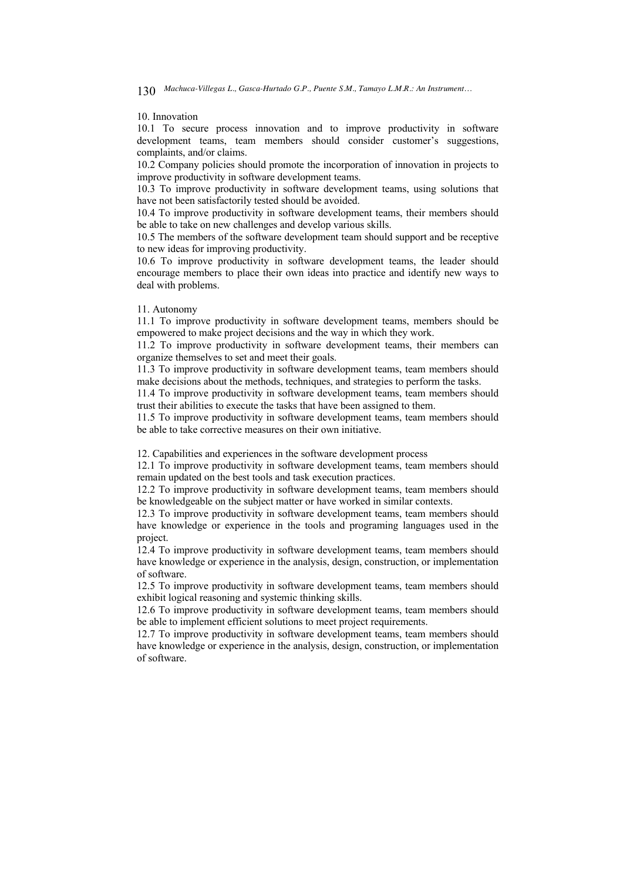#### 10. Innovation

10.1 To secure process innovation and to improve productivity in software development teams, team members should consider customer's suggestions, complaints, and/or claims.

10.2 Company policies should promote the incorporation of innovation in projects to improve productivity in software development teams.

10.3 To improve productivity in software development teams, using solutions that have not been satisfactorily tested should be avoided.

10.4 To improve productivity in software development teams, their members should be able to take on new challenges and develop various skills.

10.5 The members of the software development team should support and be receptive to new ideas for improving productivity.

10.6 To improve productivity in software development teams, the leader should encourage members to place their own ideas into practice and identify new ways to deal with problems.

### 11. Autonomy

11.1 To improve productivity in software development teams, members should be empowered to make project decisions and the way in which they work.

11.2 To improve productivity in software development teams, their members can organize themselves to set and meet their goals.

11.3 To improve productivity in software development teams, team members should make decisions about the methods, techniques, and strategies to perform the tasks.

11.4 To improve productivity in software development teams, team members should trust their abilities to execute the tasks that have been assigned to them.

11.5 To improve productivity in software development teams, team members should be able to take corrective measures on their own initiative.

12. Capabilities and experiences in the software development process

12.1 To improve productivity in software development teams, team members should remain updated on the best tools and task execution practices.

12.2 To improve productivity in software development teams, team members should be knowledgeable on the subject matter or have worked in similar contexts.

12.3 To improve productivity in software development teams, team members should have knowledge or experience in the tools and programing languages used in the project.

12.4 To improve productivity in software development teams, team members should have knowledge or experience in the analysis, design, construction, or implementation of software.

12.5 To improve productivity in software development teams, team members should exhibit logical reasoning and systemic thinking skills.

12.6 To improve productivity in software development teams, team members should be able to implement efficient solutions to meet project requirements.

12.7 To improve productivity in software development teams, team members should have knowledge or experience in the analysis, design, construction, or implementation of software.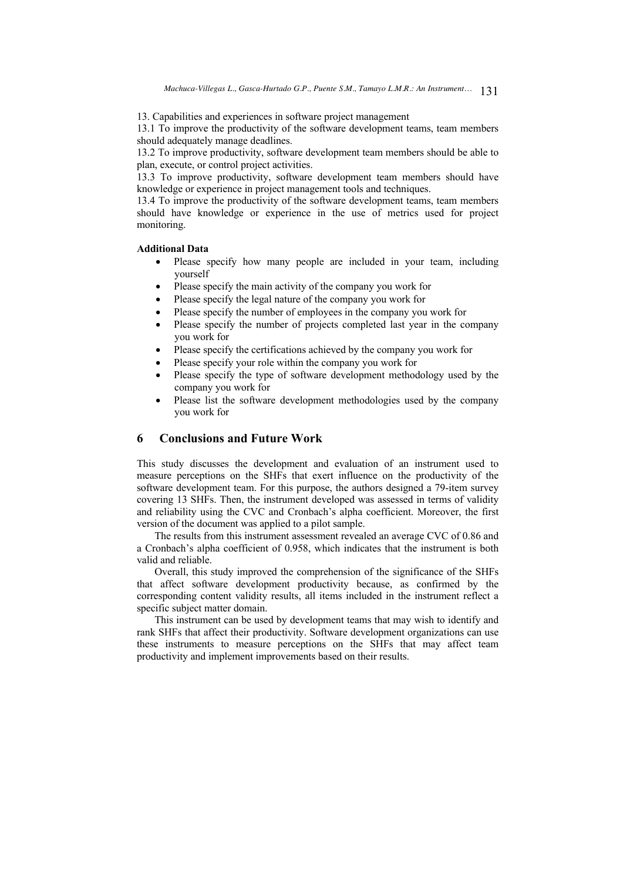13. Capabilities and experiences in software project management

13.1 To improve the productivity of the software development teams, team members should adequately manage deadlines.

13.2 To improve productivity, software development team members should be able to plan, execute, or control project activities.

13.3 To improve productivity, software development team members should have knowledge or experience in project management tools and techniques.

13.4 To improve the productivity of the software development teams, team members should have knowledge or experience in the use of metrics used for project monitoring.

# **Additional Data**

- Please specify how many people are included in your team, including yourself
- Please specify the main activity of the company you work for
- Please specify the legal nature of the company you work for
- Please specify the number of employees in the company you work for
- Please specify the number of projects completed last year in the company you work for
- Please specify the certifications achieved by the company you work for
- Please specify your role within the company you work for
- Please specify the type of software development methodology used by the company you work for
- Please list the software development methodologies used by the company you work for

# **6 Conclusions and Future Work**

This study discusses the development and evaluation of an instrument used to measure perceptions on the SHFs that exert influence on the productivity of the software development team. For this purpose, the authors designed a 79-item survey covering 13 SHFs. Then, the instrument developed was assessed in terms of validity and reliability using the CVC and Cronbach's alpha coefficient. Moreover, the first version of the document was applied to a pilot sample.

The results from this instrument assessment revealed an average CVC of 0.86 and a Cronbach's alpha coefficient of 0.958, which indicates that the instrument is both valid and reliable.

Overall, this study improved the comprehension of the significance of the SHFs that affect software development productivity because, as confirmed by the corresponding content validity results, all items included in the instrument reflect a specific subject matter domain.

This instrument can be used by development teams that may wish to identify and rank SHFs that affect their productivity. Software development organizations can use these instruments to measure perceptions on the SHFs that may affect team productivity and implement improvements based on their results.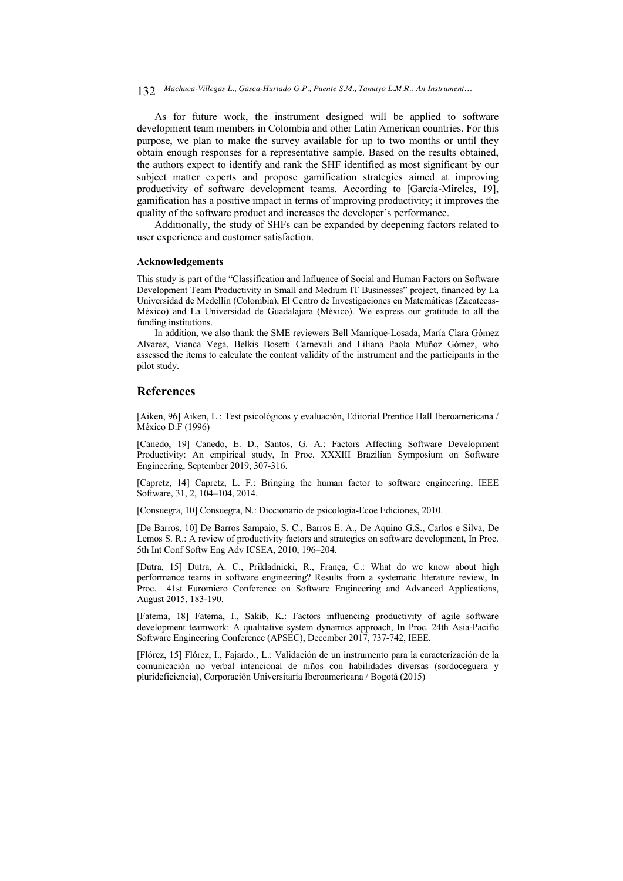*Machuca-Villegas L., Gasca-Hurtado G.P., Puente S.M., Tamayo L.M.R.: An Instrument…* 132

As for future work, the instrument designed will be applied to software development team members in Colombia and other Latin American countries. For this purpose, we plan to make the survey available for up to two months or until they obtain enough responses for a representative sample. Based on the results obtained, the authors expect to identify and rank the SHF identified as most significant by our subject matter experts and propose gamification strategies aimed at improving productivity of software development teams. According to [García-Mireles, 19], gamification has a positive impact in terms of improving productivity; it improves the quality of the software product and increases the developer's performance.

Additionally, the study of SHFs can be expanded by deepening factors related to user experience and customer satisfaction.

#### **Acknowledgements**

This study is part of the "Classification and Influence of Social and Human Factors on Software Development Team Productivity in Small and Medium IT Businesses" project, financed by La Universidad de Medellín (Colombia), El Centro de Investigaciones en Matemáticas (Zacatecas-México) and La Universidad de Guadalajara (México). We express our gratitude to all the funding institutions.

In addition, we also thank the SME reviewers Bell Manrique-Losada, María Clara Gómez Alvarez, Vianca Vega, Belkis Bosetti Carnevali and Liliana Paola Muñoz Gómez, who assessed the items to calculate the content validity of the instrument and the participants in the pilot study.

# **References**

[Aiken, 96] Aiken, L.: Test psicológicos y evaluación, Editorial Prentice Hall Iberoamericana / México D.F (1996)

[Canedo, 19] Canedo, E. D., Santos, G. A.: Factors Affecting Software Development Productivity: An empirical study, In Proc. XXXIII Brazilian Symposium on Software Engineering, September 2019, 307-316.

[Capretz, 14] Capretz, L. F.: Bringing the human factor to software engineering, IEEE Software, 31, 2, 104–104, 2014.

[Consuegra, 10] Consuegra, N.: Diccionario de psicologia-Ecoe Ediciones, 2010.

[De Barros, 10] De Barros Sampaio, S. C., Barros E. A., De Aquino G.S., Carlos e Silva, De Lemos S. R.: A review of productivity factors and strategies on software development, In Proc. 5th Int Conf Softw Eng Adv ICSEA, 2010, 196–204.

[Dutra, 15] Dutra, A. C., Prikladnicki, R., França, C.: What do we know about high performance teams in software engineering? Results from a systematic literature review, In Proc. 41st Euromicro Conference on Software Engineering and Advanced Applications, August 2015, 183-190.

[Fatema, 18] Fatema, I., Sakib, K.: Factors influencing productivity of agile software development teamwork: A qualitative system dynamics approach, In Proc. 24th Asia-Pacific Software Engineering Conference (APSEC), December 2017, 737-742, IEEE.

[Flórez, 15] Flórez, I., Fajardo., L.: Validación de un instrumento para la caracterización de la comunicación no verbal intencional de niños con habilidades diversas (sordoceguera y plurideficiencia), Corporación Universitaria Iberoamericana / Bogotá (2015)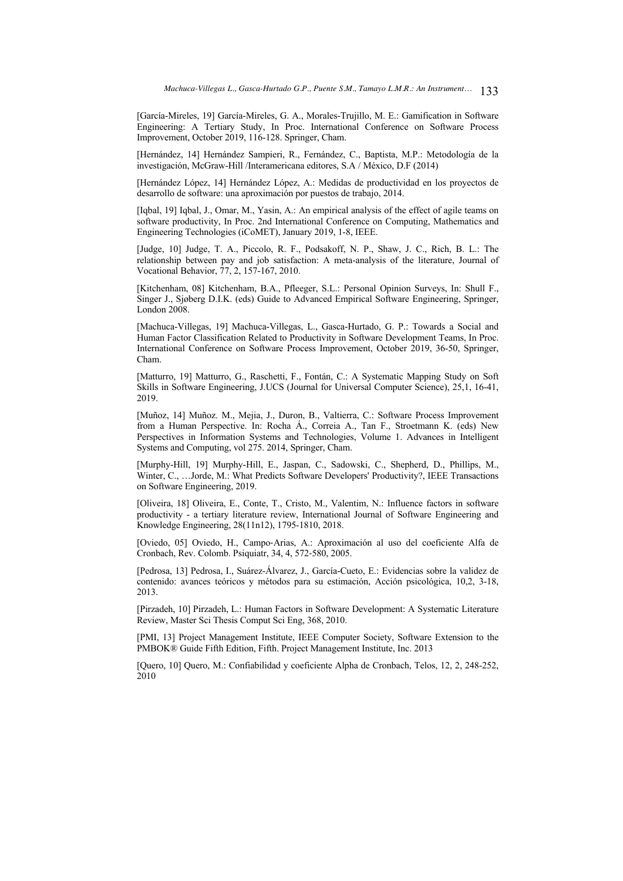[García-Mireles, 19] García-Mireles, G. A., Morales-Trujillo, M. E.: Gamification in Software Engineering: A Tertiary Study, In Proc. International Conference on Software Process Improvement, October 2019, 116-128. Springer, Cham.

[Hernández, 14] Hernández Sampieri, R., Fernández, C., Baptista, M.P.: Metodología de la investigación, McGraw-Hill /Interamericana editores, S.A / México, D.F (2014)

[Hernández López, 14] Hernández López, A.: Medidas de productividad en los proyectos de desarrollo de software: una aproximación por puestos de trabajo, 2014.

[Iqbal, 19] Iqbal, J., Omar, M., Yasin, A.: An empirical analysis of the effect of agile teams on software productivity, In Proc. 2nd International Conference on Computing, Mathematics and Engineering Technologies (iCoMET), January 2019, 1-8, IEEE.

[Judge, 10] Judge, T. A., Piccolo, R. F., Podsakoff, N. P., Shaw, J. C., Rich, B. L.: The relationship between pay and job satisfaction: A meta-analysis of the literature, Journal of Vocational Behavior, 77, 2, 157-167, 2010.

[Kitchenham, 08] Kitchenham, B.A., Pfleeger, S.L.: Personal Opinion Surveys, In: Shull F., Singer J., Sjøberg D.I.K. (eds) Guide to Advanced Empirical Software Engineering, Springer, London 2008.

[Machuca-Villegas, 19] Machuca-Villegas, L., Gasca-Hurtado, G. P.: Towards a Social and Human Factor Classification Related to Productivity in Software Development Teams, In Proc. International Conference on Software Process Improvement, October 2019, 36-50, Springer, Cham.

[Matturro, 19] Matturro, G., Raschetti, F., Fontán, C.: A Systematic Mapping Study on Soft Skills in Software Engineering, J.UCS (Journal for Universal Computer Science), 25,1, 16-41, 2019.

[Muñoz, 14] Muñoz. M., Mejia, J., Duron, B., Valtierra, C.: Software Process Improvement from a Human Perspective. In: Rocha Á., Correia A., Tan F., Stroetmann K. (eds) New Perspectives in Information Systems and Technologies, Volume 1. Advances in Intelligent Systems and Computing, vol 275. 2014, Springer, Cham.

[Murphy-Hill, 19] Murphy-Hill, E., Jaspan, C., Sadowski, C., Shepherd, D., Phillips, M., Winter, C., …Jorde, M.: What Predicts Software Developers' Productivity?, IEEE Transactions on Software Engineering, 2019.

[Oliveira, 18] Oliveira, E., Conte, T., Cristo, M., Valentim, N.: Influence factors in software productivity - a tertiary literature review, International Journal of Software Engineering and Knowledge Engineering, 28(11n12), 1795-1810, 2018.

[Oviedo, 05] Oviedo, H., Campo-Arias, A.: Aproximación al uso del coeficiente Alfa de Cronbach, Rev. Colomb. Psiquiatr, 34, 4, 572-580, 2005.

[Pedrosa, 13] Pedrosa, I., Suárez-Álvarez, J., García-Cueto, E.: Evidencias sobre la validez de contenido: avances teóricos y métodos para su estimación, Acción psicológica, 10,2, 3-18, 2013.

[Pirzadeh, 10] Pirzadeh, L.: Human Factors in Software Development: A Systematic Literature Review, Master Sci Thesis Comput Sci Eng, 368, 2010.

[PMI, 13] Project Management Institute, IEEE Computer Society, Software Extension to the PMBOK® Guide Fifth Edition, Fifth. Project Management Institute, Inc. 2013

[Quero, 10] Quero, M.: Confiabilidad y coeficiente Alpha de Cronbach, Telos, 12, 2, 248-252, 2010